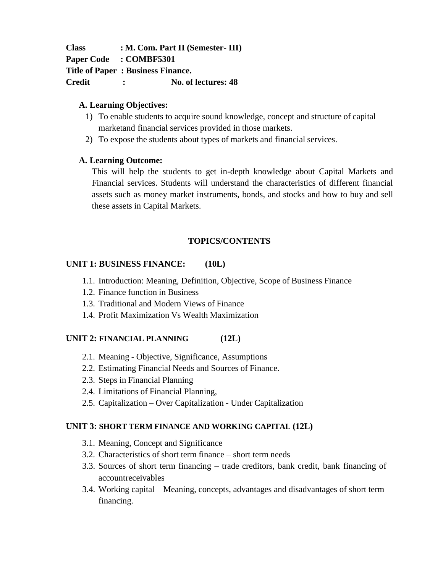**Class : M. Com. Part II (Semester- III) Paper Code : COMBF5301 Title of Paper : Business Finance. Credit : No. of lectures: 48**

#### **A. Learning Objectives:**

- 1) To enable students to acquire sound knowledge, concept and structure of capital marketand financial services provided in those markets.
- 2) To expose the students about types of markets and financial services.

#### **A. Learning Outcome:**

This will help the students to get in-depth knowledge about Capital Markets and Financial services. Students will understand the characteristics of different financial assets such as money market instruments, bonds, and stocks and how to buy and sell these assets in Capital Markets.

# **TOPICS/CONTENTS**

# **UNIT 1: BUSINESS FINANCE: (10L)**

- 1.1. Introduction: Meaning, Definition, Objective, Scope of Business Finance
- 1.2. Finance function in Business
- 1.3. Traditional and Modern Views of Finance
- 1.4. Profit Maximization Vs Wealth Maximization

# **UNIT 2: FINANCIAL PLANNING (12L)**

- 2.1. Meaning Objective, Significance, Assumptions
- 2.2. Estimating Financial Needs and Sources of Finance.
- 2.3. Steps in Financial Planning
- 2.4. Limitations of Financial Planning,
- 2.5. Capitalization Over Capitalization Under Capitalization

# **UNIT 3: SHORT TERM FINANCE AND WORKING CAPITAL (12L)**

- 3.1. Meaning, Concept and Significance
- 3.2. Characteristics of short term finance short term needs
- 3.3. Sources of short term financing trade creditors, bank credit, bank financing of accountreceivables
- 3.4. Working capital Meaning, concepts, advantages and disadvantages of short term financing.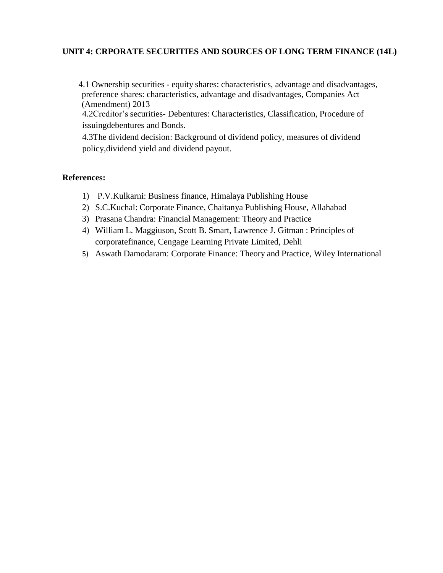# **UNIT 4: CRPORATE SECURITIES AND SOURCES OF LONG TERM FINANCE (14L)**

4.1 Ownership securities - equity shares: characteristics, advantage and disadvantages, preference shares: characteristics, advantage and disadvantages, Companies Act (Amendment) 2013

4.2Creditor's securities- Debentures: Characteristics, Classification, Procedure of issuingdebentures and Bonds.

4.3The dividend decision: Background of dividend policy, measures of dividend policy,dividend yield and dividend payout.

#### **References:**

- 1) P.V.Kulkarni: Business finance, Himalaya Publishing House
- 2) S.C.Kuchal: Corporate Finance, Chaitanya Publishing House, Allahabad
- 3) Prasana Chandra: Financial Management: Theory and Practice
- 4) William L. Maggiuson, Scott B. Smart, Lawrence J. Gitman : Principles of corporatefinance, Cengage Learning Private Limited, Dehli
- 5) Aswath Damodaram: Corporate Finance: Theory and Practice, Wiley International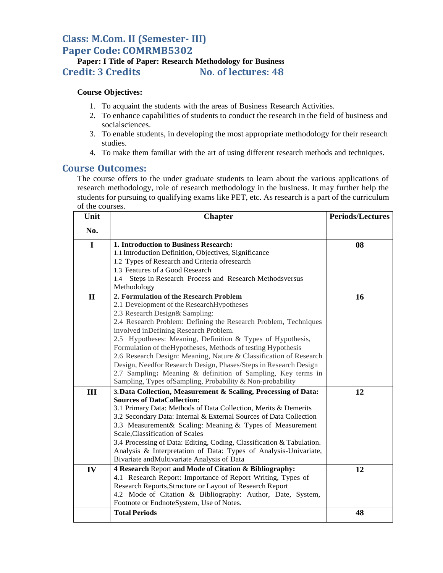# **Class: M.Com. II (Semester- III) Paper Code: COMRMB5302**

# **Paper: I Title of Paper: Research Methodology for Business Credit: 3 Credits No. of lectures: 48**

#### **Course Objectives:**

- 1. To acquaint the students with the areas of Business Research Activities.
- 2. To enhance capabilities of students to conduct the research in the field of business and socialsciences.
- 3. To enable students, in developing the most appropriate methodology for their research studies.
- 4. To make them familiar with the art of using different research methods and techniques.

#### **Course Outcomes:**

The course offers to the under graduate students to learn about the various applications of research methodology, role of research methodology in the business. It may further help the students for pursuing to qualifying exams like PET, etc. As research is a part of the curriculum of the courses.

| Unit         | <b>Chapter</b>                                                                               | <b>Periods/Lectures</b> |
|--------------|----------------------------------------------------------------------------------------------|-------------------------|
| No.          |                                                                                              |                         |
| $\mathbf I$  | 1. Introduction to Business Research:                                                        | 08                      |
|              | 1.1 Introduction Definition, Objectives, Significance                                        |                         |
|              | 1.2 Types of Research and Criteria of research                                               |                         |
|              | 1.3 Features of a Good Research                                                              |                         |
|              | Steps in Research Process and Research Methodsversus<br>1.4                                  |                         |
|              | Methodology                                                                                  |                         |
| $\mathbf{I}$ | 2. Formulation of the Research Problem                                                       | 16                      |
|              | 2.1 Development of the ResearchHypotheses                                                    |                         |
|              | 2.3 Research Design& Sampling:                                                               |                         |
|              | 2.4 Research Problem: Defining the Research Problem, Techniques                              |                         |
|              | involved inDefining Research Problem.                                                        |                         |
|              | 2.5 Hypotheses: Meaning, Definition & Types of Hypothesis,                                   |                         |
|              | Formulation of the Hypotheses, Methods of testing Hypothesis                                 |                         |
|              | 2.6 Research Design: Meaning, Nature & Classification of Research                            |                         |
|              | Design, Needfor Research Design, Phases/Steps in Research Design                             |                         |
|              | 2.7 Sampling: Meaning & definition of Sampling, Key terms in                                 |                         |
|              | Sampling, Types of Sampling, Probability & Non-probability                                   |                         |
| III          | 3. Data Collection, Measurement & Scaling, Processing of Data:                               | 12                      |
|              | <b>Sources of DataCollection:</b>                                                            |                         |
|              | 3.1 Primary Data: Methods of Data Collection, Merits & Demerits                              |                         |
|              | 3.2 Secondary Data: Internal & External Sources of Data Collection                           |                         |
|              | 3.3 Measurement & Scaling: Meaning & Types of Measurement<br>Scale, Classification of Scales |                         |
|              | 3.4 Processing of Data: Editing, Coding, Classification & Tabulation.                        |                         |
|              | Analysis & Interpretation of Data: Types of Analysis-Univariate,                             |                         |
|              | Bivariate andMultivariate Analysis of Data                                                   |                         |
| IV           | 4 Research Report and Mode of Citation & Bibliography:                                       | 12                      |
|              | 4.1 Research Report: Importance of Report Writing, Types of                                  |                         |
|              | Research Reports, Structure or Layout of Research Report                                     |                         |
|              | 4.2 Mode of Citation & Bibliography: Author, Date, System,                                   |                         |
|              | Footnote or EndnoteSystem, Use of Notes.                                                     |                         |
|              | <b>Total Periods</b>                                                                         | 48                      |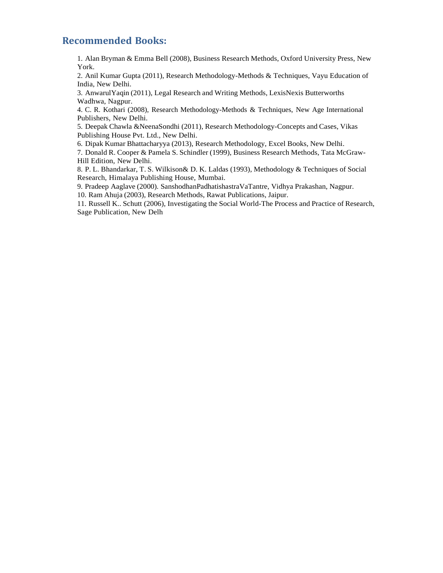# **Recommended Books:**

1. Alan Bryman & Emma Bell (2008), Business Research Methods, Oxford University Press, New York.

2. Anil Kumar Gupta (2011), Research Methodology-Methods & Techniques, Vayu Education of India, New Delhi.

3. AnwarulYaqin (2011), Legal Research and Writing Methods, LexisNexis Butterworths Wadhwa, Nagpur.

4. C. R. Kothari (2008), Research Methodology-Methods & Techniques, New Age International Publishers, New Delhi.

5. Deepak Chawla &NeenaSondhi (2011), Research Methodology-Concepts and Cases, Vikas Publishing House Pvt. Ltd., New Delhi.

6. Dipak Kumar Bhattacharyya (2013), Research Methodology, Excel Books, New Delhi.

7. Donald R. Cooper & Pamela S. Schindler (1999), Business Research Methods, Tata McGraw-Hill Edition, New Delhi.

8. P. L. Bhandarkar, T. S. Wilkison& D. K. Laldas (1993), Methodology & Techniques of Social Research, Himalaya Publishing House, Mumbai.

9. Pradeep Aaglave (2000). SanshodhanPadhatishastraVaTantre, Vidhya Prakashan, Nagpur.

10. Ram Ahuja (2003), Research Methods, Rawat Publications, Jaipur.

11. Russell K.. Schutt (2006), Investigating the Social World-The Process and Practice of Research, Sage Publication, New Delh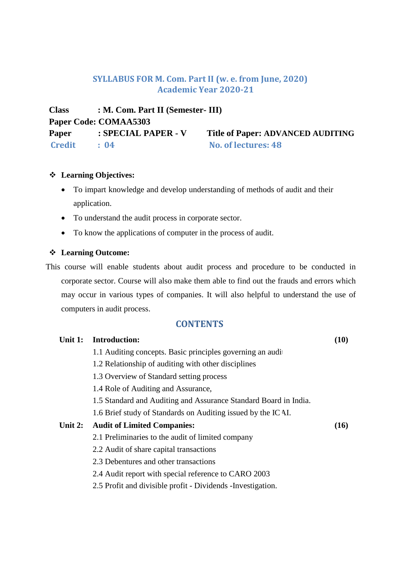# **SYLLABUS FOR M. Com. Part II (w. e. from June, 2020) Academic Year 2020-21**

**Class : M. Com. Part II (Semester- III) Paper Code: COMAA5303 Paper : SPECIAL PAPER - V Title of Paper: ADVANCED AUDITING Credit : 04 No. of lectures: 48**

#### **Learning Objectives:**

- To impart knowledge and develop understanding of methods of audit and their application.
- To understand the audit process in corporate sector.
- To know the applications of computer in the process of audit.

#### **Learning Outcome:**

This course will enable students about audit process and procedure to be conducted in corporate sector. Course will also make them able to find out the frauds and errors which may occur in various types of companies. It will also helpful to understand the use of computers in audit process.

# **CONTENTS**

| Unit 1: | <b>Introduction:</b>                                             | (10) |  |  |
|---------|------------------------------------------------------------------|------|--|--|
|         | 1.1 Auditing concepts. Basic principles governing an audi-       |      |  |  |
|         | 1.2 Relationship of auditing with other disciplines              |      |  |  |
|         | 1.3 Overview of Standard setting process                         |      |  |  |
|         | 1.4 Role of Auditing and Assurance,                              |      |  |  |
|         | 1.5 Standard and Auditing and Assurance Standard Board in India. |      |  |  |
|         | 1.6 Brief study of Standards on Auditing issued by the ICAI.     |      |  |  |
| Unit 2: | <b>Audit of Limited Companies:</b>                               | (16) |  |  |
|         | 2.1 Preliminaries to the audit of limited company                |      |  |  |
|         | 2.2 Audit of share capital transactions                          |      |  |  |
|         | 2.3 Debentures and other transactions                            |      |  |  |
|         | 2.4 Audit report with special reference to CARO 2003             |      |  |  |
|         | 2.5 Profit and divisible profit - Dividends - Investigation.     |      |  |  |
|         |                                                                  |      |  |  |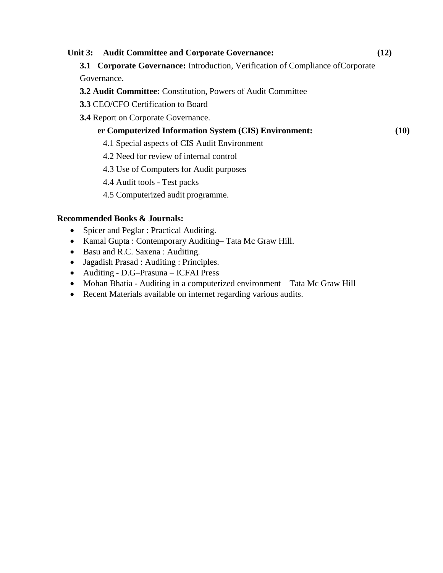# **Unit 3: Audit Committee and Corporate Governance: (12) 3.1 Corporate Governance:** Introduction, Verification of Compliance ofCorporate Governance. **3.2 Audit Committee:** Constitution, Powers of Audit Committee **3.3** CEO/CFO Certification to Board **3.4** Report on Corporate Governance. **audit <b>a Computerized Information System (CIS) Environment:**  $(10)$ 4.1 Special aspects of CIS Audit Environment 4.2 Need for review of internal control 4.3 Use of Computers for Audit purposes 4.4 Audit tools - Test packs 4.5 Computerized audit programme. **Recommended Books & Journals:**

- Spicer and Peglar : Practical Auditing.
- Kamal Gupta : Contemporary Auditing–Tata Mc Graw Hill.
- Basu and R.C. Saxena : Auditing.
- Jagadish Prasad : Auditing : Principles.
- Auditing D.G–Prasuna ICFAI Press
- Mohan Bhatia Auditing in a computerized environment Tata Mc Graw Hill
- Recent Materials available on internet regarding various audits.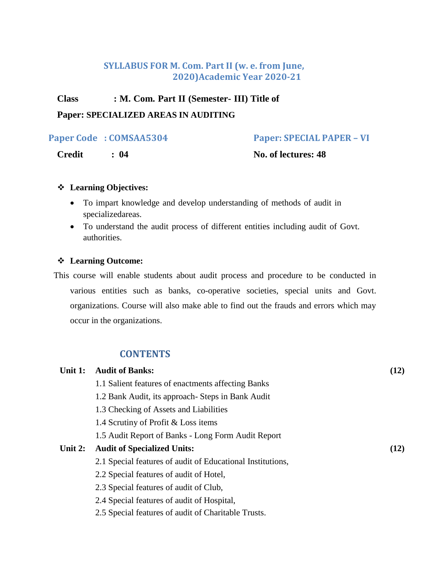# **SYLLABUS FOR M. Com. Part II (w. e. from June, 2020)Academic Year 2020-21**

# **Class : M. Com. Part II (Semester- III) Title of**

# **Paper: SPECIALIZED AREAS IN AUDITING**

**Paper Code : COMSAA5304 Paper: SPECIAL PAPER – VI**

**Credit : 04 No. of lectures: 48**

# **Learning Objectives:**

- To impart knowledge and develop understanding of methods of audit in specializedareas.
- To understand the audit process of different entities including audit of Govt. authorities.

# **Learning Outcome:**

This course will enable students about audit process and procedure to be conducted in various entities such as banks, co-operative societies, special units and Govt. organizations. Course will also make able to find out the frauds and errors which may occur in the organizations.

# **CONTENTS**

| Unit 1: | <b>Audit of Banks:</b>                                     | (12) |  |
|---------|------------------------------------------------------------|------|--|
|         | 1.1 Salient features of enactments affecting Banks         |      |  |
|         | 1.2 Bank Audit, its approach- Steps in Bank Audit          |      |  |
|         | 1.3 Checking of Assets and Liabilities                     |      |  |
|         | 1.4 Scrutiny of Profit & Loss items                        |      |  |
|         | 1.5 Audit Report of Banks - Long Form Audit Report         |      |  |
| Unit 2: | <b>Audit of Specialized Units:</b>                         | (12) |  |
|         | 2.1 Special features of audit of Educational Institutions, |      |  |
|         | 2.2 Special features of audit of Hotel,                    |      |  |
|         | 2.3 Special features of audit of Club,                     |      |  |
|         | 2.4 Special features of audit of Hospital,                 |      |  |
|         | 2.5 Special features of audit of Charitable Trusts.        |      |  |